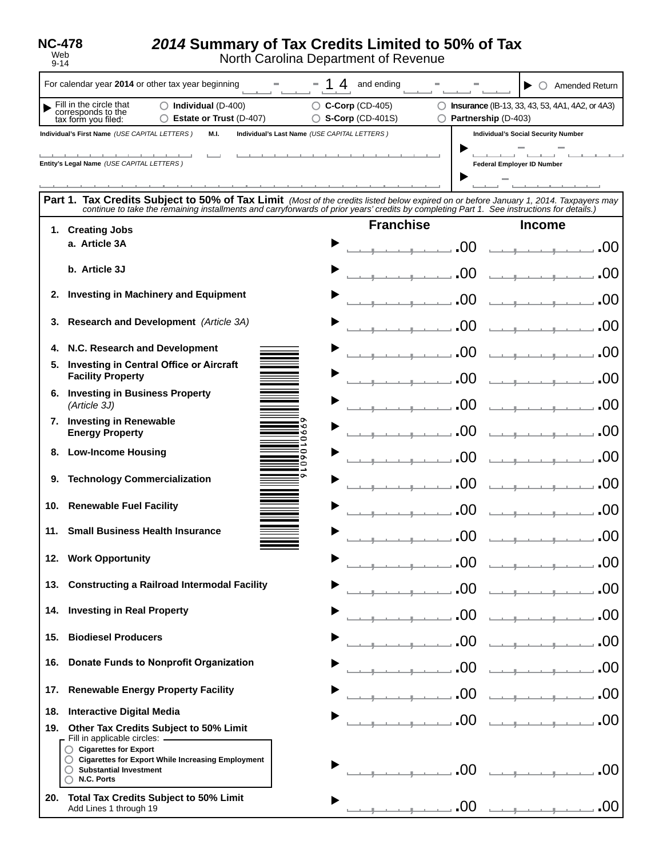**NC-478** Web

9-14

## *2014* **Summary of Tax Credits Limited to 50% of Tax**

North Carolina Department of Revenue

|                                                                                                                                                                                                                                                                                                                                                                | For calendar year 2014 or other tax year beginning                                                                                                  | 4<br>and ending<br><b>Amended Return</b><br>$\bigcirc$                                                                                          |  |  |  |                  |
|----------------------------------------------------------------------------------------------------------------------------------------------------------------------------------------------------------------------------------------------------------------------------------------------------------------------------------------------------------------|-----------------------------------------------------------------------------------------------------------------------------------------------------|-------------------------------------------------------------------------------------------------------------------------------------------------|--|--|--|------------------|
|                                                                                                                                                                                                                                                                                                                                                                | Fill in the circle that<br>$\bigcirc$ Individual (D-400)<br>corresponds to the<br>tax form you filed:<br><b>Estate or Trust (D-407)</b>             | $\bigcirc$ C-Corp (CD-405)<br><b>Insurance</b> (IB-13, 33, 43, 53, 4A1, 4A2, or 4A3)<br>$\bigcirc$ S-Corp (CD-401S)<br>Partnership (D-403)<br>O |  |  |  |                  |
|                                                                                                                                                                                                                                                                                                                                                                | Individual's First Name (USE CAPITAL LETTERS)<br>M.I.<br>Individual's Last Name (USE CAPITAL LETTERS)<br><b>Individual's Social Security Number</b> |                                                                                                                                                 |  |  |  |                  |
| Entity's Legal Name (USE CAPITAL LETTERS)<br>Federal Employer ID Number<br>Part 1. Tax Credits Subject to 50% of Tax Limit (Most of the credits listed below expired on or before January 1, 2014. Taxpayers may<br>continue to take the remaining installments and carryforwards of prior years' credits by completing Part 1. See instructions for details.) |                                                                                                                                                     |                                                                                                                                                 |  |  |  |                  |
|                                                                                                                                                                                                                                                                                                                                                                |                                                                                                                                                     |                                                                                                                                                 |  |  |  | 1. Creating Jobs |
|                                                                                                                                                                                                                                                                                                                                                                | a. Article 3A                                                                                                                                       | .00<br>.00                                                                                                                                      |  |  |  |                  |
|                                                                                                                                                                                                                                                                                                                                                                | b. Article 3J                                                                                                                                       |                                                                                                                                                 |  |  |  |                  |
|                                                                                                                                                                                                                                                                                                                                                                | 2. Investing in Machinery and Equipment                                                                                                             | .OC                                                                                                                                             |  |  |  |                  |
| 3.                                                                                                                                                                                                                                                                                                                                                             | Research and Development (Article 3A)                                                                                                               |                                                                                                                                                 |  |  |  |                  |
| 4.                                                                                                                                                                                                                                                                                                                                                             | N.C. Research and Development                                                                                                                       |                                                                                                                                                 |  |  |  |                  |
|                                                                                                                                                                                                                                                                                                                                                                | 5. Investing in Central Office or Aircraft<br><b>Facility Property</b>                                                                              |                                                                                                                                                 |  |  |  |                  |
|                                                                                                                                                                                                                                                                                                                                                                | 6. Investing in Business Property<br>(Article 3J)                                                                                                   | -OC                                                                                                                                             |  |  |  |                  |
|                                                                                                                                                                                                                                                                                                                                                                | 7. Investing in Renewable<br><b>Energy Property</b>                                                                                                 | ٥<br>.OC<br>۰<br>C                                                                                                                              |  |  |  |                  |
| 8.                                                                                                                                                                                                                                                                                                                                                             | <b>Low-Income Housing</b>                                                                                                                           | ∍<br>0                                                                                                                                          |  |  |  |                  |
| 9.                                                                                                                                                                                                                                                                                                                                                             | <b>Technology Commercialization</b>                                                                                                                 | .OC                                                                                                                                             |  |  |  |                  |
| 10.                                                                                                                                                                                                                                                                                                                                                            | <b>Renewable Fuel Facility</b>                                                                                                                      | .00                                                                                                                                             |  |  |  |                  |
|                                                                                                                                                                                                                                                                                                                                                                | 11. Small Business Health Insurance                                                                                                                 | .00                                                                                                                                             |  |  |  |                  |
|                                                                                                                                                                                                                                                                                                                                                                | 12. Work Opportunity                                                                                                                                | .00<br>.UU                                                                                                                                      |  |  |  |                  |
|                                                                                                                                                                                                                                                                                                                                                                | 13. Constructing a Railroad Intermodal Facility                                                                                                     | .00                                                                                                                                             |  |  |  |                  |
|                                                                                                                                                                                                                                                                                                                                                                | 14. Investing in Real Property                                                                                                                      | .00                                                                                                                                             |  |  |  |                  |
| 15.                                                                                                                                                                                                                                                                                                                                                            | <b>Biodiesel Producers</b>                                                                                                                          | .00                                                                                                                                             |  |  |  |                  |
| 16.                                                                                                                                                                                                                                                                                                                                                            | <b>Donate Funds to Nonprofit Organization</b>                                                                                                       | .00                                                                                                                                             |  |  |  |                  |
|                                                                                                                                                                                                                                                                                                                                                                | 17. Renewable Energy Property Facility                                                                                                              | .00                                                                                                                                             |  |  |  |                  |
| 18.                                                                                                                                                                                                                                                                                                                                                            | <b>Interactive Digital Media</b>                                                                                                                    |                                                                                                                                                 |  |  |  |                  |
| .00<br>19. Other Tax Credits Subject to 50% Limit<br>Fill in applicable circles: ————————<br>◯ Cigarettes for Export                                                                                                                                                                                                                                           |                                                                                                                                                     |                                                                                                                                                 |  |  |  |                  |
|                                                                                                                                                                                                                                                                                                                                                                | C Cigarettes for Export While Increasing Employment<br>$\bigcirc$ Substantial Investment<br>N.C. Ports                                              | .00<br>.00<br>and a strategic and a strategic                                                                                                   |  |  |  |                  |
|                                                                                                                                                                                                                                                                                                                                                                | 20. Total Tax Credits Subject to 50% Limit<br>Add Lines 1 through 19                                                                                | .00<br>.00                                                                                                                                      |  |  |  |                  |